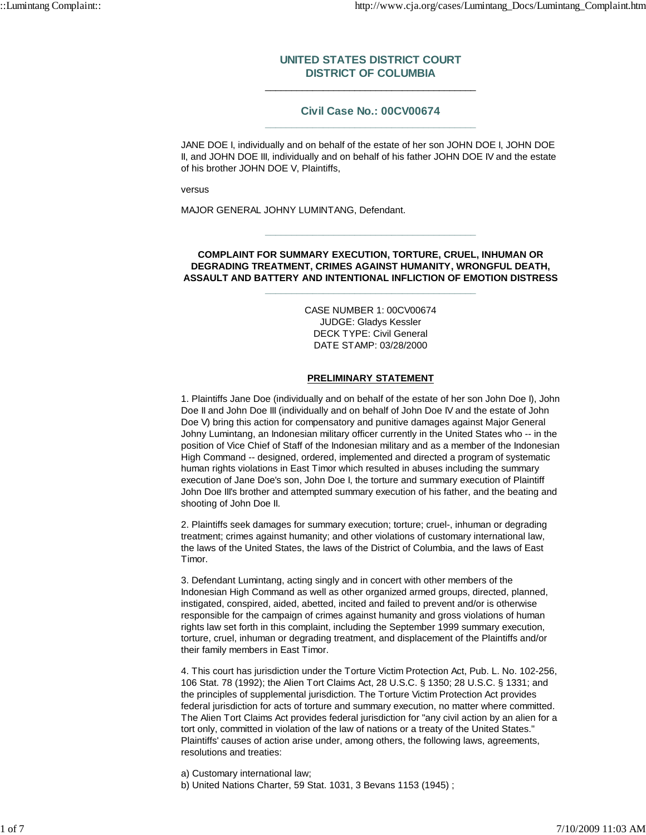## **UNITED STATES DISTRICT COURT DISTRICT OF COLUMBIA** \_\_\_\_\_\_\_\_\_\_\_\_\_\_\_\_\_\_\_\_\_\_\_\_\_\_\_\_\_\_\_\_\_\_\_\_\_\_\_\_

### **Civil Case No.: 00CV00674 \_\_\_\_\_\_\_\_\_\_\_\_\_\_\_\_\_\_\_\_\_\_\_\_\_\_\_\_\_\_\_\_\_\_\_\_\_\_\_\_**

JANE DOE I, individually and on behalf of the estate of her son JOHN DOE I, JOHN DOE II, and JOHN DOE III, individually and on behalf of his father JOHN DOE IV and the estate of his brother JOHN DOE V, Plaintiffs,

versus

MAJOR GENERAL JOHNY LUMINTANG, Defendant.

#### **COMPLAINT FOR SUMMARY EXECUTION, TORTURE, CRUEL, INHUMAN OR DEGRADING TREATMENT, CRIMES AGAINST HUMANITY, WRONGFUL DEATH, ASSAULT AND BATTERY AND INTENTIONAL INFLICTION OF EMOTION DISTRESS \_\_\_\_\_\_\_\_\_\_\_\_\_\_\_\_\_\_\_\_\_\_\_\_\_\_\_\_\_\_\_\_\_\_\_\_\_\_\_\_**

**\_\_\_\_\_\_\_\_\_\_\_\_\_\_\_\_\_\_\_\_\_\_\_\_\_\_\_\_\_\_\_\_\_\_\_\_\_\_\_\_**

CASE NUMBER 1: 00CV00674 JUDGE: Gladys Kessler DECK TYPE: Civil General DATE STAMP: 03/28/2000

### **PRELIMINARY STATEMENT**

1. Plaintiffs Jane Doe (individually and on behalf of the estate of her son John Doe I), John Doe II and John Doe III (individually and on behalf of John Doe IV and the estate of John Doe V) bring this action for compensatory and punitive damages against Major General Johny Lumintang, an Indonesian military officer currently in the United States who -- in the position of Vice Chief of Staff of the Indonesian military and as a member of the Indonesian High Command -- designed, ordered, implemented and directed a program of systematic human rights violations in East Timor which resulted in abuses including the summary execution of Jane Doe's son, John Doe I, the torture and summary execution of Plaintiff John Doe III's brother and attempted summary execution of his father, and the beating and shooting of John Doe II.

2. Plaintiffs seek damages for summary execution; torture; cruel-, inhuman or degrading treatment; crimes against humanity; and other violations of customary international law, the laws of the United States, the laws of the District of Columbia, and the laws of East Timor.

3. Defendant Lumintang, acting singly and in concert with other members of the Indonesian High Command as well as other organized armed groups, directed, planned, instigated, conspired, aided, abetted, incited and failed to prevent and/or is otherwise responsible for the campaign of crimes against humanity and gross violations of human rights law set forth in this complaint, including the September 1999 summary execution, torture, cruel, inhuman or degrading treatment, and displacement of the Plaintiffs and/or their family members in East Timor.

4. This court has jurisdiction under the Torture Victim Protection Act, Pub. L. No. 102-256, 106 Stat. 78 (1992); the Alien Tort Claims Act, 28 U.S.C. § 1350; 28 U.S.C. § 1331; and the principles of supplemental jurisdiction. The Torture Victim Protection Act provides federal jurisdiction for acts of torture and summary execution, no matter where committed. The Alien Tort Claims Act provides federal jurisdiction for "any civil action by an alien for a tort only, committed in violation of the law of nations or a treaty of the United States." Plaintiffs' causes of action arise under, among others, the following laws, agreements, resolutions and treaties:

a) Customary international law;

b) United Nations Charter, 59 Stat. 1031, 3 Bevans 1153 (1945) ;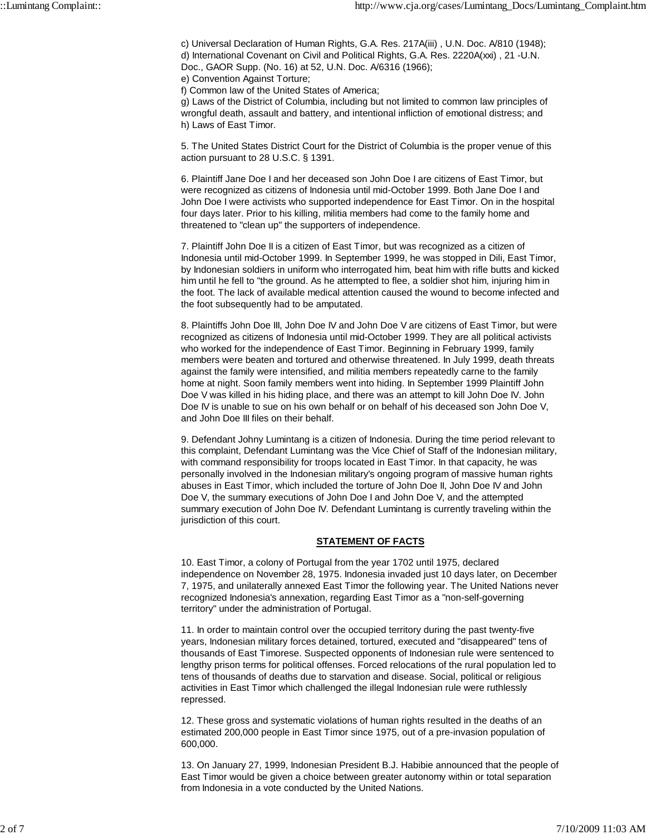c) Universal Declaration of Human Rights, G.A. Res. 217A(iii) , U.N. Doc. A/810 (1948); d) International Covenant on Civil and Political Rights, G.A. Res. 2220A(xxi) , 21 -U.N. Doc., GAOR Supp. (No. 16) at 52, U.N. Doc. A/6316 (1966);

e) Convention Against Torture;

f) Common law of the United States of America;

g) Laws of the District of Columbia, including but not limited to common law principles of wrongful death, assault and battery, and intentional infliction of emotional distress; and h) Laws of East Timor.

5. The United States District Court for the District of Columbia is the proper venue of this action pursuant to 28 U.S.C. § 1391.

6. Plaintiff Jane Doe I and her deceased son John Doe I are citizens of East Timor, but were recognized as citizens of Indonesia until mid-October 1999. Both Jane Doe I and John Doe I were activists who supported independence for East Timor. On in the hospital four days later. Prior to his killing, militia members had come to the family home and threatened to "clean up" the supporters of independence.

7. Plaintiff John Doe II is a citizen of East Timor, but was recognized as a citizen of Indonesia until mid-October 1999. In September 1999, he was stopped in Dili, East Timor, by Indonesian soldiers in uniform who interrogated him, beat him with rifle butts and kicked him until he fell to "the ground. As he attempted to flee, a soldier shot him, injuring him in the foot. The lack of available medical attention caused the wound to become infected and the foot subsequently had to be amputated.

8. Plaintiffs John Doe III, John Doe IV and John Doe V are citizens of East Timor, but were recognized as citizens of Indonesia until mid-October 1999. They are all political activists who worked for the independence of East Timor. Beginning in February 1999, family members were beaten and tortured and otherwise threatened. In July 1999, death threats against the family were intensified, and militia members repeatedly carne to the family home at night. Soon family members went into hiding. In September 1999 Plaintiff John Doe V was killed in his hiding place, and there was an attempt to kill John Doe IV. John Doe IV is unable to sue on his own behalf or on behalf of his deceased son John Doe V, and John Doe III files on their behalf.

9. Defendant Johny Lumintang is a citizen of Indonesia. During the time period relevant to this complaint, Defendant Lumintang was the Vice Chief of Staff of the Indonesian military, with command responsibility for troops located in East Timor. In that capacity, he was personally involved in the Indonesian military's ongoing program of massive human rights abuses in East Timor, which included the torture of John Doe II, John Doe IV and John Doe V, the summary executions of John Doe I and John Doe V, and the attempted summary execution of John Doe IV. Defendant Lumintang is currently traveling within the jurisdiction of this court.

### **STATEMENT OF FACTS**

10. East Timor, a colony of Portugal from the year 1702 until 1975, declared independence on November 28, 1975. Indonesia invaded just 10 days later, on December 7, 1975, and unilaterally annexed East Timor the following year. The United Nations never recognized Indonesia's annexation, regarding East Timor as a "non-self-governing territory" under the administration of Portugal.

11. In order to maintain control over the occupied territory during the past twenty-five years, Indonesian military forces detained, tortured, executed and "disappeared" tens of thousands of East Timorese. Suspected opponents of Indonesian rule were sentenced to lengthy prison terms for political offenses. Forced relocations of the rural population led to tens of thousands of deaths due to starvation and disease. Social, political or religious activities in East Timor which challenged the illegal Indonesian rule were ruthlessly repressed.

12. These gross and systematic violations of human rights resulted in the deaths of an estimated 200,000 people in East Timor since 1975, out of a pre-invasion population of 600,000.

13. On January 27, 1999, Indonesian President B.J. Habibie announced that the people of East Timor would be given a choice between greater autonomy within or total separation from Indonesia in a vote conducted by the United Nations.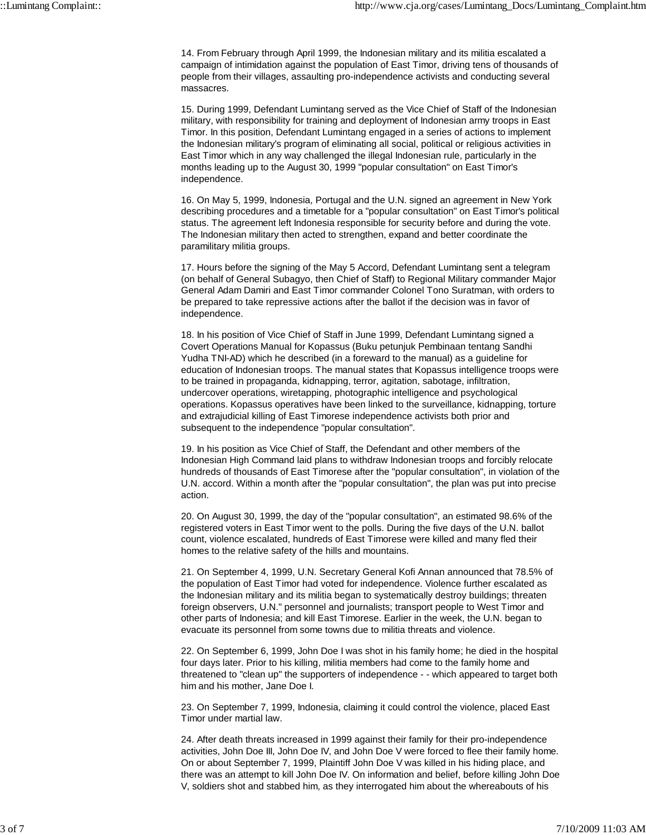14. From February through April 1999, the Indonesian military and its militia escalated a campaign of intimidation against the population of East Timor, driving tens of thousands of people from their villages, assaulting pro-independence activists and conducting several massacres.

15. During 1999, Defendant Lumintang served as the Vice Chief of Staff of the Indonesian military, with responsibility for training and deployment of Indonesian army troops in East Timor. In this position, Defendant Lumintang engaged in a series of actions to implement the Indonesian military's program of eliminating all social, political or religious activities in East Timor which in any way challenged the illegal Indonesian rule, particularly in the months leading up to the August 30, 1999 "popular consultation" on East Timor's independence.

16. On May 5, 1999, Indonesia, Portugal and the U.N. signed an agreement in New York describing procedures and a timetable for a "popular consultation" on East Timor's political status. The agreement left Indonesia responsible for security before and during the vote. The Indonesian military then acted to strengthen, expand and better coordinate the paramilitary militia groups.

17. Hours before the signing of the May 5 Accord, Defendant Lumintang sent a telegram (on behalf of General Subagyo, then Chief of Staff) to Regional Military commander Major General Adam Damiri and East Timor commander Colonel Tono Suratman, with orders to be prepared to take repressive actions after the ballot if the decision was in favor of independence.

18. In his position of Vice Chief of Staff in June 1999, Defendant Lumintang signed a Covert Operations Manual for Kopassus (Buku petunjuk Pembinaan tentang Sandhi Yudha TNI-AD) which he described (in a foreward to the manual) as a guideline for education of Indonesian troops. The manual states that Kopassus intelligence troops were to be trained in propaganda, kidnapping, terror, agitation, sabotage, infiltration, undercover operations, wiretapping, photographic intelligence and psychological operations. Kopassus operatives have been linked to the surveillance, kidnapping, torture and extrajudicial killing of East Timorese independence activists both prior and subsequent to the independence "popular consultation".

19. In his position as Vice Chief of Staff, the Defendant and other members of the Indonesian High Command laid plans to withdraw Indonesian troops and forcibly relocate hundreds of thousands of East Timorese after the "popular consultation", in violation of the U.N. accord. Within a month after the "popular consultation", the plan was put into precise action.

20. On August 30, 1999, the day of the "popular consultation", an estimated 98.6% of the registered voters in East Timor went to the polls. During the five days of the U.N. ballot count, violence escalated, hundreds of East Timorese were killed and many fled their homes to the relative safety of the hills and mountains.

21. On September 4, 1999, U.N. Secretary General Kofi Annan announced that 78.5% of the population of East Timor had voted for independence. Violence further escalated as the Indonesian military and its militia began to systematically destroy buildings; threaten foreign observers, U.N." personnel and journalists; transport people to West Timor and other parts of Indonesia; and kill East Timorese. Earlier in the week, the U.N. began to evacuate its personnel from some towns due to militia threats and violence.

22. On September 6, 1999, John Doe I was shot in his family home; he died in the hospital four days later. Prior to his killing, militia members had come to the family home and threatened to "clean up" the supporters of independence - - which appeared to target both him and his mother, Jane Doe I.

23. On September 7, 1999, Indonesia, claiming it could control the violence, placed East Timor under martial law.

24. After death threats increased in 1999 against their family for their pro-independence activities, John Doe III, John Doe IV, and John Doe V were forced to flee their family home. On or about September 7, 1999, Plaintiff John Doe V was killed in his hiding place, and there was an attempt to kill John Doe IV. On information and belief, before killing John Doe V, soldiers shot and stabbed him, as they interrogated him about the whereabouts of his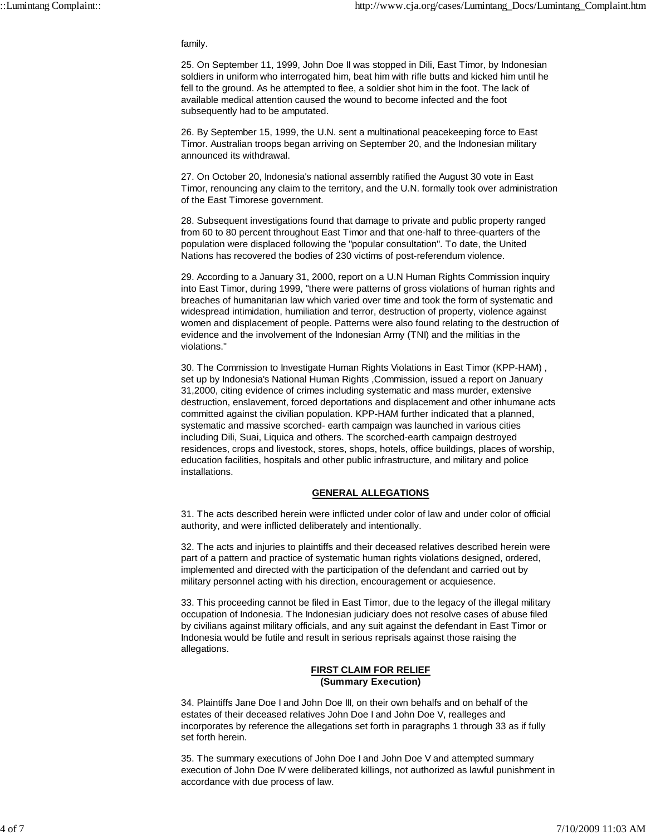#### family.

25. On September 11, 1999, John Doe II was stopped in Dili, East Timor, by Indonesian soldiers in uniform who interrogated him, beat him with rifle butts and kicked him until he fell to the ground. As he attempted to flee, a soldier shot him in the foot. The lack of available medical attention caused the wound to become infected and the foot subsequently had to be amputated.

26. By September 15, 1999, the U.N. sent a multinational peacekeeping force to East Timor. Australian troops began arriving on September 20, and the Indonesian military announced its withdrawal.

27. On October 20, Indonesia's national assembly ratified the August 30 vote in East Timor, renouncing any claim to the territory, and the U.N. formally took over administration of the East Timorese government.

28. Subsequent investigations found that damage to private and public property ranged from 60 to 80 percent throughout East Timor and that one-half to three-quarters of the population were displaced following the "popular consultation". To date, the United Nations has recovered the bodies of 230 victims of post-referendum violence.

29. According to a January 31, 2000, report on a U.N Human Rights Commission inquiry into East Timor, during 1999, "there were patterns of gross violations of human rights and breaches of humanitarian law which varied over time and took the form of systematic and widespread intimidation, humiliation and terror, destruction of property, violence against women and displacement of people. Patterns were also found relating to the destruction of evidence and the involvement of the Indonesian Army (TNI) and the militias in the violations."

30. The Commission to Investigate Human Rights Violations in East Timor (KPP-HAM) , set up by Indonesia's National Human Rights ,Commission, issued a report on January 31,2000, citing evidence of crimes including systematic and mass murder, extensive destruction, enslavement, forced deportations and displacement and other inhumane acts committed against the civilian population. KPP-HAM further indicated that a planned, systematic and massive scorched- earth campaign was launched in various cities including Dili, Suai, Liquica and others. The scorched-earth campaign destroyed residences, crops and livestock, stores, shops, hotels, office buildings, places of worship, education facilities, hospitals and other public infrastructure, and military and police installations.

### **GENERAL ALLEGATIONS**

31. The acts described herein were inflicted under color of law and under color of official authority, and were inflicted deliberately and intentionally.

32. The acts and injuries to plaintiffs and their deceased relatives described herein were part of a pattern and practice of systematic human rights violations designed, ordered, implemented and directed with the participation of the defendant and carried out by military personnel acting with his direction, encouragement or acquiesence.

33. This proceeding cannot be filed in East Timor, due to the legacy of the illegal military occupation of Indonesia. The Indonesian judiciary does not resolve cases of abuse filed by civilians against military officials, and any suit against the defendant in East Timor or Indonesia would be futile and result in serious reprisals against those raising the allegations.

### **FIRST CLAIM FOR RELIEF (Summary Execution)**

34. Plaintiffs Jane Doe I and John Doe III, on their own behalfs and on behalf of the estates of their deceased relatives John Doe I and John Doe V, realleges and incorporates by reference the allegations set forth in paragraphs 1 through 33 as if fully set forth herein.

35. The summary executions of John Doe I and John Doe V and attempted summary execution of John Doe IV were deliberated killings, not authorized as lawful punishment in accordance with due process of law.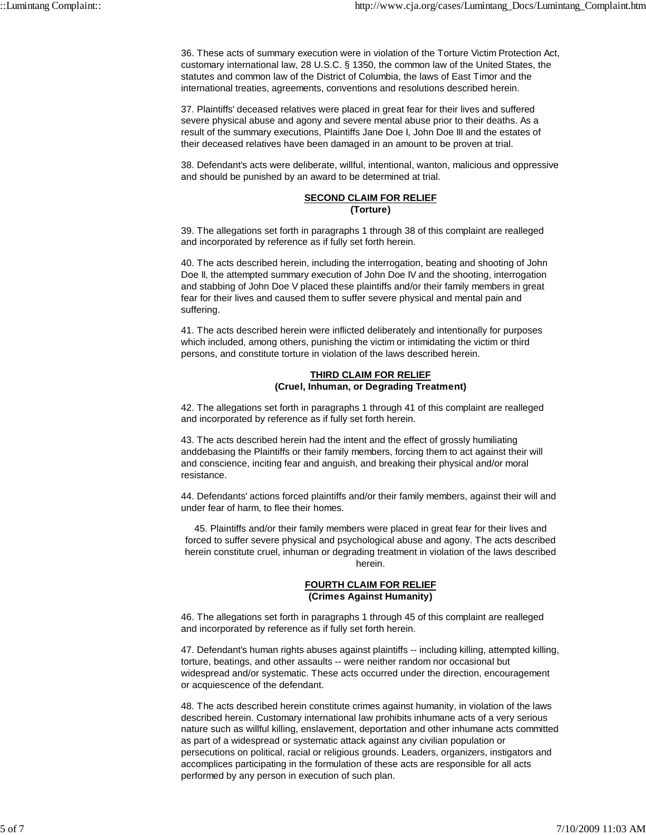36. These acts of summary execution were in violation of the Torture Victim Protection Act, customary international law, 28 U.S.C. § 1350, the common law of the United States, the statutes and common law of the District of Columbia, the laws of East Timor and the international treaties, agreements, conventions and resolutions described herein.

37. Plaintiffs' deceased relatives were placed in great fear for their lives and suffered severe physical abuse and agony and severe mental abuse prior to their deaths. As a result of the summary executions, Plaintiffs Jane Doe I, John Doe III and the estates of their deceased relatives have been damaged in an amount to be proven at trial.

38. Defendant's acts were deliberate, willful, intentional, wanton, malicious and oppressive and should be punished by an award to be determined at trial.

### **SECOND CLAIM FOR RELIEF (Torture)**

39. The allegations set forth in paragraphs 1 through 38 of this complaint are realleged and incorporated by reference as if fully set forth herein.

40. The acts described herein, including the interrogation, beating and shooting of John Doe II, the attempted summary execution of John Doe IV and the shooting, interrogation and stabbing of John Doe V placed these plaintiffs and/or their family members in great fear for their lives and caused them to suffer severe physical and mental pain and suffering.

41. The acts described herein were inflicted deliberately and intentionally for purposes which included, among others, punishing the victim or intimidating the victim or third persons, and constitute torture in violation of the laws described herein.

### **THIRD CLAIM FOR RELIEF (Cruel, Inhuman, or Degrading Treatment)**

42. The allegations set forth in paragraphs 1 through 41 of this complaint are realleged and incorporated by reference as if fully set forth herein.

43. The acts described herein had the intent and the effect of grossly humiliating anddebasing the Plaintiffs or their family members, forcing them to act against their will and conscience, inciting fear and anguish, and breaking their physical and/or moral resistance.

44. Defendants' actions forced plaintiffs and/or their family members, against their will and under fear of harm, to flee their homes.

45. Plaintiffs and/or their family members were placed in great fear for their lives and forced to suffer severe physical and psychological abuse and agony. The acts described herein constitute cruel, inhuman or degrading treatment in violation of the laws described herein.

### **FOURTH CLAIM FOR RELIEF (Crimes Against Humanity)**

46. The allegations set forth in paragraphs 1 through 45 of this complaint are realleged and incorporated by reference as if fully set forth herein.

47. Defendant's human rights abuses against plaintiffs -- including killing, attempted killing, torture, beatings, and other assaults -- were neither random nor occasional but widespread and/or systematic. These acts occurred under the direction, encouragement or acquiescence of the defendant.

48. The acts described herein constitute crimes against humanity, in violation of the laws described herein. Customary international law prohibits inhumane acts of a very serious nature such as willful killing, enslavement, deportation and other inhumane acts committed as part of a widespread or systematic attack against any civilian population or persecutions on political, racial or religious grounds. Leaders, organizers, instigators and accomplices participating in the formulation of these acts are responsible for all acts performed by any person in execution of such plan.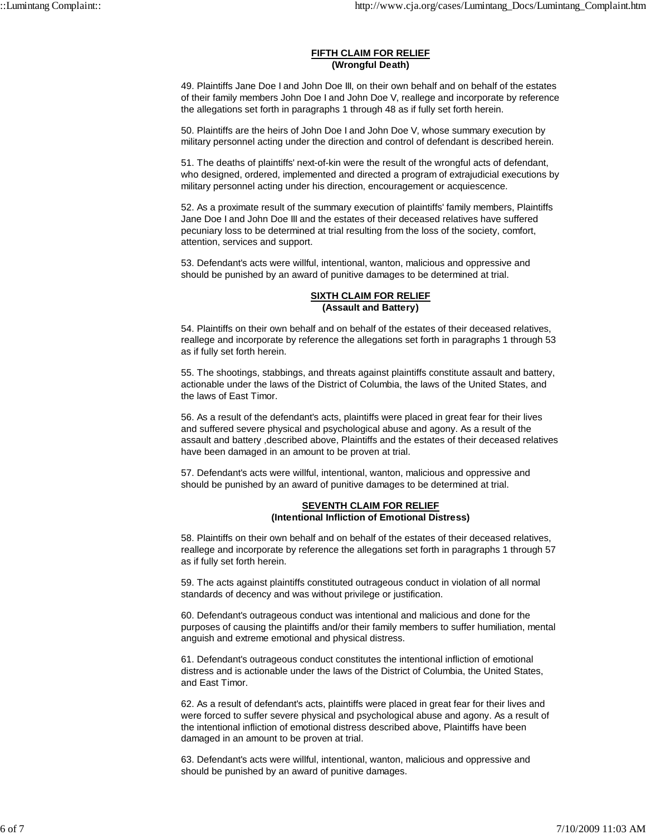#### **FIFTH CLAIM FOR RELIEF (Wrongful Death)**

49. Plaintiffs Jane Doe I and John Doe III, on their own behalf and on behalf of the estates of their family members John Doe I and John Doe V, reallege and incorporate by reference the allegations set forth in paragraphs 1 through 48 as if fully set forth herein.

50. Plaintiffs are the heirs of John Doe I and John Doe V, whose summary execution by military personnel acting under the direction and control of defendant is described herein.

51. The deaths of plaintiffs' next-of-kin were the result of the wrongful acts of defendant, who designed, ordered, implemented and directed a program of extrajudicial executions by military personnel acting under his direction, encouragement or acquiescence.

52. As a proximate result of the summary execution of plaintiffs' family members, Plaintiffs Jane Doe I and John Doe III and the estates of their deceased relatives have suffered pecuniary loss to be determined at trial resulting from the loss of the society, comfort, attention, services and support.

53. Defendant's acts were willful, intentional, wanton, malicious and oppressive and should be punished by an award of punitive damages to be determined at trial.

### **SIXTH CLAIM FOR RELIEF (Assault and Battery)**

54. Plaintiffs on their own behalf and on behalf of the estates of their deceased relatives, reallege and incorporate by reference the allegations set forth in paragraphs 1 through 53 as if fully set forth herein.

55. The shootings, stabbings, and threats against plaintiffs constitute assault and battery, actionable under the laws of the District of Columbia, the laws of the United States, and the laws of East Timor.

56. As a result of the defendant's acts, plaintiffs were placed in great fear for their lives and suffered severe physical and psychological abuse and agony. As a result of the assault and battery ,described above, Plaintiffs and the estates of their deceased relatives have been damaged in an amount to be proven at trial.

57. Defendant's acts were willful, intentional, wanton, malicious and oppressive and should be punished by an award of punitive damages to be determined at trial.

### **SEVENTH CLAIM FOR RELIEF (Intentional Infliction of Emotional Distress)**

58. Plaintiffs on their own behalf and on behalf of the estates of their deceased relatives, reallege and incorporate by reference the allegations set forth in paragraphs 1 through 57 as if fully set forth herein.

59. The acts against plaintiffs constituted outrageous conduct in violation of all normal standards of decency and was without privilege or justification.

60. Defendant's outrageous conduct was intentional and malicious and done for the purposes of causing the plaintiffs and/or their family members to suffer humiliation, mental anguish and extreme emotional and physical distress.

61. Defendant's outrageous conduct constitutes the intentional infliction of emotional distress and is actionable under the laws of the District of Columbia, the United States, and East Timor.

62. As a result of defendant's acts, plaintiffs were placed in great fear for their lives and were forced to suffer severe physical and psychological abuse and agony. As a result of the intentional infliction of emotional distress described above, Plaintiffs have been damaged in an amount to be proven at trial.

63. Defendant's acts were willful, intentional, wanton, malicious and oppressive and should be punished by an award of punitive damages.